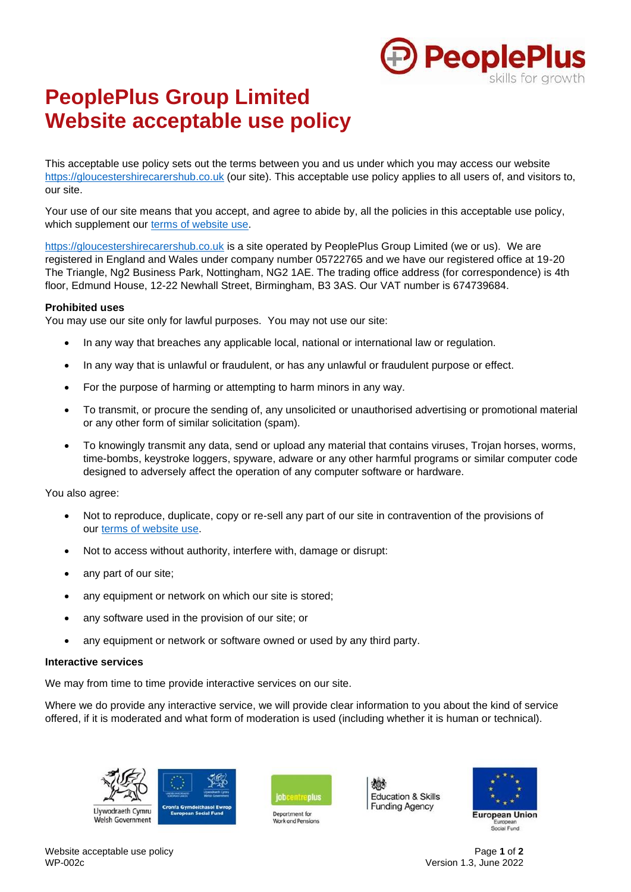

# **PeoplePlus Group Limited Website acceptable use policy**

This acceptable use policy sets out the terms between you and us under which you may access our website https://gloucestershirecarershub.co.uk (our site). This acceptable use policy applies to all users of, and visitors to, our site.

Your use of our site means that you accept, and agree to abide by, all the policies in this acceptable use policy, which supplement our terms of website use.

https://gloucestershirecarershub.co.uk is a site operated by PeoplePlus Group Limited (we or us). We are registered in England and Wales under company number 05722765 and we have our registered office at 19-20 The Triangle, Ng2 Business Park, Nottingham, NG2 1AE. The trading office address (for correspondence) is 4th floor, Edmund House, 12-22 Newhall Street, Birmingham, B3 3AS. Our VAT number is 674739684.

## **Prohibited uses**

You may use our site only for lawful purposes. You may not use our site:

- In any way that breaches any applicable local, national or international law or regulation.
- In any way that is unlawful or fraudulent, or has any unlawful or fraudulent purpose or effect.
- For the purpose of harming or attempting to harm minors in any way.
- To transmit, or procure the sending of, any unsolicited or unauthorised advertising or promotional material or any other form of similar solicitation (spam).
- To knowingly transmit any data, send or upload any material that contains viruses, Trojan horses, worms, time-bombs, keystroke loggers, spyware, adware or any other harmful programs or similar computer code designed to adversely affect the operation of any computer software or hardware.

You also agree:

- Not to reproduce, duplicate, copy or re-sell any part of our site in contravention of the provisions of our terms of website use.
- Not to access without authority, interfere with, damage or disrupt:
- any part of our site;
- any equipment or network on which our site is stored;
- any software used in the provision of our site; or
- any equipment or network or software owned or used by any third party.

### **Interactive services**

We may from time to time provide interactive services on our site.

Where we do provide any interactive service, we will provide clear information to you about the kind of service offered, if it is moderated and what form of moderation is used (including whether it is human or technical).





Department for





Website acceptable use policy **Page 1 of 2**<br>WP-002c **Page 1 of 2**<br>Version 1.3. June 2022

Version 1.3, June 2022